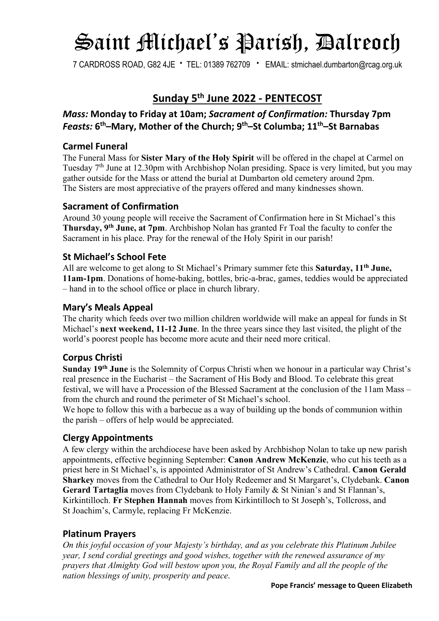# Saint Michael's Parish, Dalreoch

7 CARDROSS ROAD, G82 4JE **∙** TEL: 01389 762709 **∙** EMAIL: stmichael.dumbarton@rcag.org.uk

## **Sunday 5th June 2022 - PENTECOST**

### *Mass:* **Monday to Friday at 10am;** *Sacrament of Confirmation:* **Thursday 7pm** *Feasts:* **6th–Mary, Mother of the Church; 9th–St Columba; 11th–St Barnabas**

#### **Carmel Funeral**

The Funeral Mass for **Sister Mary of the Holy Spirit** will be offered in the chapel at Carmel on Tuesday  $7<sup>th</sup>$  June at 12.30pm with Archbishop Nolan presiding. Space is very limited, but you may gather outside for the Mass or attend the burial at Dumbarton old cemetery around 2pm. The Sisters are most appreciative of the prayers offered and many kindnesses shown.

#### **Sacrament of Confirmation**

Around 30 young people will receive the Sacrament of Confirmation here in St Michael's this **Thursday, 9th June, at 7pm**. Archbishop Nolan has granted Fr Toal the faculty to confer the Sacrament in his place. Pray for the renewal of the Holy Spirit in our parish!

#### **St Michael's School Fete**

All are welcome to get along to St Michael's Primary summer fete this **Saturday, 11th June, 11am-1pm**. Donations of home-baking, bottles, bric-a-brac, games, teddies would be appreciated – hand in to the school office or place in church library.

#### **Mary's Meals Appeal**

The charity which feeds over two million children worldwide will make an appeal for funds in St Michael's **next weekend, 11-12 June**. In the three years since they last visited, the plight of the world's poorest people has become more acute and their need more critical.

#### **Corpus Christi**

**Sunday 19th June** is the Solemnity of Corpus Christi when we honour in a particular way Christ's real presence in the Eucharist – the Sacrament of His Body and Blood. To celebrate this great festival, we will have a Procession of the Blessed Sacrament at the conclusion of the 11am Mass – from the church and round the perimeter of St Michael's school.

We hope to follow this with a barbecue as a way of building up the bonds of communion within the parish – offers of help would be appreciated.

#### **Clergy Appointments**

A few clergy within the archdiocese have been asked by Archbishop Nolan to take up new parish appointments, effective beginning September: **Canon Andrew McKenzie**, who cut his teeth as a priest here in St Michael's, is appointed Administrator of St Andrew's Cathedral. **Canon Gerald Sharkey** moves from the Cathedral to Our Holy Redeemer and St Margaret's, Clydebank. **Canon Gerard Tartaglia** moves from Clydebank to Holy Family & St Ninian's and St Flannan's, Kirkintilloch. **Fr Stephen Hannah** moves from Kirkintilloch to St Joseph's, Tollcross, and St Joachim's, Carmyle, replacing Fr McKenzie.

#### **Platinum Prayers**

*On this joyful occasion of your Majesty's birthday, and as you celebrate this Platinum Jubilee year, I send cordial greetings and good wishes, together with the renewed assurance of my prayers that Almighty God will bestow upon you, the Royal Family and all the people of the nation blessings of unity, prosperity and peace*.